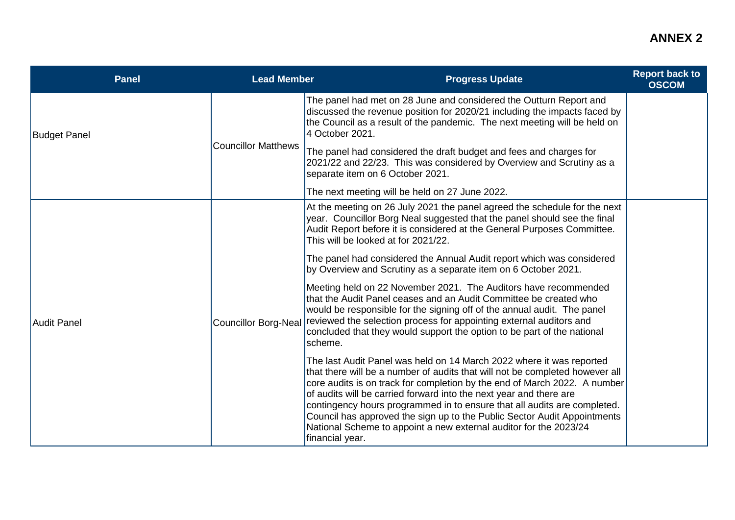| <b>Panel</b>        | <b>Lead Member</b>         | <b>Progress Update</b>                                                                                                                                                                                                                                                                                                                                                                                                                                                                                                                                  | <b>Report back to</b><br><b>OSCOM</b> |
|---------------------|----------------------------|---------------------------------------------------------------------------------------------------------------------------------------------------------------------------------------------------------------------------------------------------------------------------------------------------------------------------------------------------------------------------------------------------------------------------------------------------------------------------------------------------------------------------------------------------------|---------------------------------------|
| <b>Budget Panel</b> | <b>Councillor Matthews</b> | The panel had met on 28 June and considered the Outturn Report and<br>discussed the revenue position for 2020/21 including the impacts faced by<br>the Council as a result of the pandemic. The next meeting will be held on<br>4 October 2021.                                                                                                                                                                                                                                                                                                         |                                       |
|                     |                            | The panel had considered the draft budget and fees and charges for<br>2021/22 and 22/23. This was considered by Overview and Scrutiny as a<br>separate item on 6 October 2021.                                                                                                                                                                                                                                                                                                                                                                          |                                       |
|                     |                            | The next meeting will be held on 27 June 2022.                                                                                                                                                                                                                                                                                                                                                                                                                                                                                                          |                                       |
| <b>Audit Panel</b>  | Councillor Borg-Neal       | At the meeting on 26 July 2021 the panel agreed the schedule for the next<br>year. Councillor Borg Neal suggested that the panel should see the final<br>Audit Report before it is considered at the General Purposes Committee.<br>This will be looked at for 2021/22.                                                                                                                                                                                                                                                                                 |                                       |
|                     |                            | The panel had considered the Annual Audit report which was considered<br>by Overview and Scrutiny as a separate item on 6 October 2021.                                                                                                                                                                                                                                                                                                                                                                                                                 |                                       |
|                     |                            | Meeting held on 22 November 2021. The Auditors have recommended<br>that the Audit Panel ceases and an Audit Committee be created who<br>would be responsible for the signing off of the annual audit. The panel<br>reviewed the selection process for appointing external auditors and<br>concluded that they would support the option to be part of the national<br>scheme.                                                                                                                                                                            |                                       |
|                     |                            | The last Audit Panel was held on 14 March 2022 where it was reported<br>that there will be a number of audits that will not be completed however all<br>core audits is on track for completion by the end of March 2022. A number<br>of audits will be carried forward into the next year and there are<br>contingency hours programmed in to ensure that all audits are completed.<br>Council has approved the sign up to the Public Sector Audit Appointments<br>National Scheme to appoint a new external auditor for the 2023/24<br>financial year. |                                       |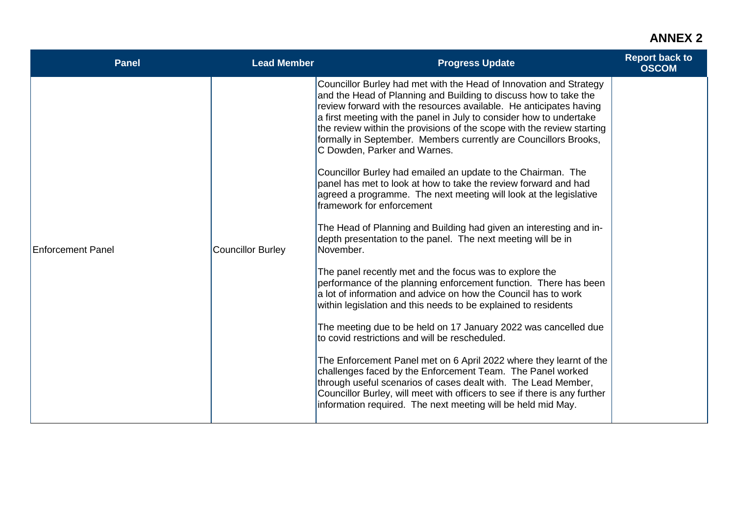## **ANNEX 2**

| <b>Panel</b>      | <b>Lead Member</b> | <b>Progress Update</b>                                                                                                                                                                                                                                                                                                                                                                                                                                                                                                                                                                                                                                                                                                                                                                                                                                                                                                                                                                                                                                                                                                                                                                                                                                                                                                                                                                                                                                                                                                                                                                               | <b>Report back to</b><br><b>OSCOM</b> |
|-------------------|--------------------|------------------------------------------------------------------------------------------------------------------------------------------------------------------------------------------------------------------------------------------------------------------------------------------------------------------------------------------------------------------------------------------------------------------------------------------------------------------------------------------------------------------------------------------------------------------------------------------------------------------------------------------------------------------------------------------------------------------------------------------------------------------------------------------------------------------------------------------------------------------------------------------------------------------------------------------------------------------------------------------------------------------------------------------------------------------------------------------------------------------------------------------------------------------------------------------------------------------------------------------------------------------------------------------------------------------------------------------------------------------------------------------------------------------------------------------------------------------------------------------------------------------------------------------------------------------------------------------------------|---------------------------------------|
| Enforcement Panel | Councillor Burley  | Councillor Burley had met with the Head of Innovation and Strategy<br>and the Head of Planning and Building to discuss how to take the<br>review forward with the resources available. He anticipates having<br>a first meeting with the panel in July to consider how to undertake<br>the review within the provisions of the scope with the review starting<br>formally in September. Members currently are Councillors Brooks,<br>C Dowden, Parker and Warnes.<br>Councillor Burley had emailed an update to the Chairman. The<br>panel has met to look at how to take the review forward and had<br>agreed a programme. The next meeting will look at the legislative<br>framework for enforcement<br>The Head of Planning and Building had given an interesting and in-<br>depth presentation to the panel. The next meeting will be in<br>November.<br>The panel recently met and the focus was to explore the<br>performance of the planning enforcement function. There has been<br>a lot of information and advice on how the Council has to work<br>within legislation and this needs to be explained to residents<br>The meeting due to be held on 17 January 2022 was cancelled due<br>to covid restrictions and will be rescheduled.<br>The Enforcement Panel met on 6 April 2022 where they learnt of the<br>challenges faced by the Enforcement Team. The Panel worked<br>through useful scenarios of cases dealt with. The Lead Member,<br>Councillor Burley, will meet with officers to see if there is any further<br>information required. The next meeting will be held mid May. |                                       |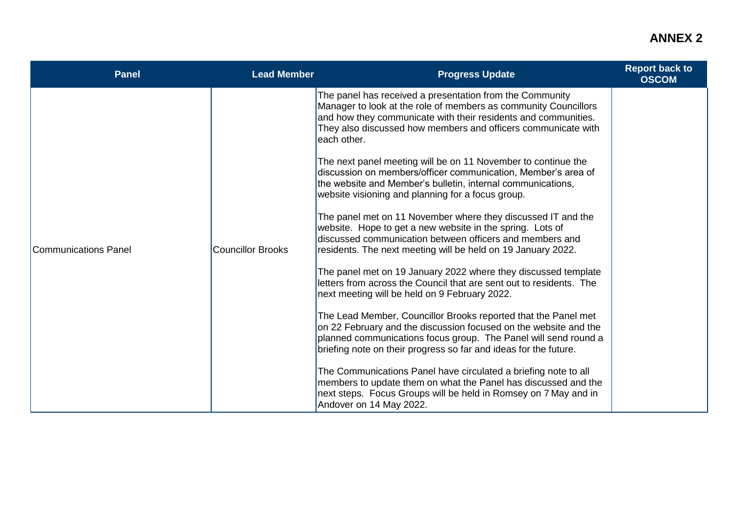## **ANNEX 2**

| <b>Panel</b>         | <b>Lead Member</b> | <b>Progress Update</b>                                                                                                                                                                                                                                                                                                                                                                                                                                                                                                                                                                                                                                                                                                                                                                                                                                                                                                                                                                                                                                                                                                        | <b>Report back to</b><br><b>OSCOM</b> |
|----------------------|--------------------|-------------------------------------------------------------------------------------------------------------------------------------------------------------------------------------------------------------------------------------------------------------------------------------------------------------------------------------------------------------------------------------------------------------------------------------------------------------------------------------------------------------------------------------------------------------------------------------------------------------------------------------------------------------------------------------------------------------------------------------------------------------------------------------------------------------------------------------------------------------------------------------------------------------------------------------------------------------------------------------------------------------------------------------------------------------------------------------------------------------------------------|---------------------------------------|
| Communications Panel | Councillor Brooks  | The panel has received a presentation from the Community<br>Manager to look at the role of members as community Councillors<br>and how they communicate with their residents and communities.<br>They also discussed how members and officers communicate with<br>leach other.<br>The next panel meeting will be on 11 November to continue the<br>discussion on members/officer communication, Member's area of<br>the website and Member's bulletin, internal communications,<br>website visioning and planning for a focus group.<br>The panel met on 11 November where they discussed IT and the<br>website. Hope to get a new website in the spring. Lots of<br>discussed communication between officers and members and<br>residents. The next meeting will be held on 19 January 2022.<br>The panel met on 19 January 2022 where they discussed template<br>letters from across the Council that are sent out to residents. The<br>next meeting will be held on 9 February 2022.<br>The Lead Member, Councillor Brooks reported that the Panel met<br>on 22 February and the discussion focused on the website and the |                                       |
|                      |                    | planned communications focus group. The Panel will send round a<br>briefing note on their progress so far and ideas for the future.                                                                                                                                                                                                                                                                                                                                                                                                                                                                                                                                                                                                                                                                                                                                                                                                                                                                                                                                                                                           |                                       |
|                      |                    | The Communications Panel have circulated a briefing note to all<br>members to update them on what the Panel has discussed and the<br>next steps. Focus Groups will be held in Romsey on 7 May and in<br>Andover on 14 May 2022.                                                                                                                                                                                                                                                                                                                                                                                                                                                                                                                                                                                                                                                                                                                                                                                                                                                                                               |                                       |